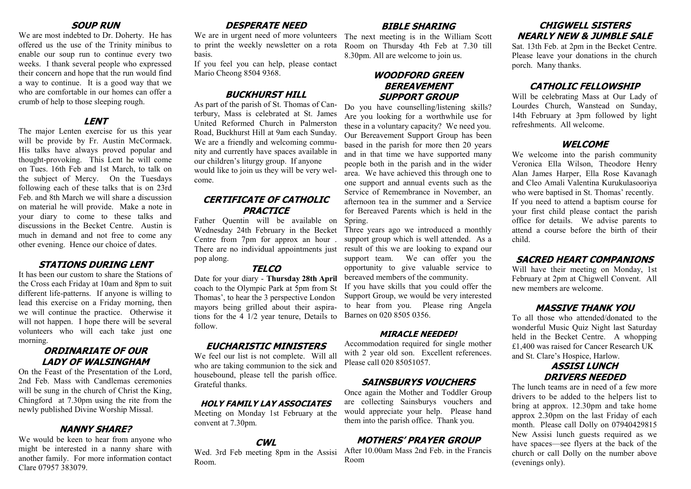#### **SOUP RUN**

We are most indebted to Dr. Doherty. He has offered us the use of the Trinity minibus to enable our soup run to continue every two weeks. I thank several people who expressed their concern and hope that the run would find a way to continue. It is a good way that we who are comfortable in our homes can offer a crumb of help to those sleeping rough.

#### **LENT**

The major Lenten exercise for us this year will be provide by Fr. Austin McCormack. His talks have always proved popular and thought-provoking. This Lent he will come on Tues. 16th Feb and 1st March, to talk on the subject of Mercy. On the Tuesdays following each of these talks that is on 23rd Feb. and 8th March we will share a discussion on material he will provide. Make a note in your diary to come to these talks and discussions in the Becket Centre. Austin is much in demand and not free to come any other evening. Hence our choice of dates.

#### **STATIONS DURING LENT**

It has been our custom to share the Stations of the Cross each Friday at 10am and 8pm to suit different life-patterns. If anyone is willing to lead this exercise on a Friday morning, then we will continue the practice. Otherwise it will not happen. I hope there will be several volunteers who will each take just one morning.

#### **ORDINARIATE OF OUR LADY OF WALSINGHAM**

On the Feast of the Presentation of the Lord, 2nd Feb. Mass with Candlemas ceremonies will be sung in the church of Christ the King, Chingford at 7.30pm using the rite from the newly published Divine Worship Missal.

#### **NANNY SHARE?**

We would be keen to hear from anyone who might be interested in a nanny share with another family. For more information contact Clare 07957 383079.

# **DESPERATE NEED**

We are in urgent need of more volunteers The next meeting is in the William Scott to print the weekly newsletter on a rota Room on Thursday 4th Feb at 7.30 till basis.

If you feel you can help, please contact Mario Cheong 8504 9368.

# **BUCKHURST HILL**

As part of the parish of St. Thomas of Canterbury, Mass is celebrated at St. James United Reformed Church in Palmerston Road, Buckhurst Hill at 9am each Sunday. We are a friendly and welcoming community and currently have spaces available in our children's liturgy group. If anyone would like to join us they will be very welcome.

## **CERTIFICATE OF CATHOLIC PRACTICE**

Father Quentin will be available on Spring. Centre from 7pm for approx an hour . pop along.

#### **TELCO**

Date for your diary - **Thursday 28th April**  coach to the Olympic Park at 5pm from St Thomas', to hear the 3 perspective London mayors being grilled about their aspirations for the 4 1/2 year tenure, Details to follow.

#### **EUCHARISTIC MINISTERS**

We feel our list is not complete. Will all who are taking communion to the sick and housebound, please tell the parish office. Grateful thanks.

#### **HOLY FAMILY LAY ASSOCIATES**

Meeting on Monday 1st February at the convent at 7.30pm.

#### **CWL**

Wed. 3rd Feb meeting 8pm in the Assisi Room.

## **BIBLE SHARING**

8.30pm. All are welcome to join us.

## **WOODFORD GREEN BEREAVEMENT SUPPORT GROUP**

Do you have counselling/listening skills? Are you looking for a worthwhile use for these in a voluntary capacity? We need you. Our Bereavement Support Group has been based in the parish for more then 20 years and in that time we have supported many people both in the parish and in the wider area. We have achieved this through one to one support and annual events such as the Service of Remembrance in November, an afternoon tea in the summer and a Service for Bereaved Parents which is held in the

Wednesday 24th February in the Becket Three years ago we introduced a monthly support group which is well attended. As a There are no individual appointments just result of this we are looking to expand our support team. We can offer you the opportunity to give valuable service to bereaved members of the community.

If you have skills that you could offer the Support Group, we would be very interested to hear from you. Please ring Angela Barnes on 020 8505 0356.

#### **MIRACLE NEEDED!**

Accommodation required for single mother with 2 year old son. Excellent references. Please call 020 85051057.

# **SAINSBURYS VOUCHERS**

Once again the Mother and Toddler Group are collecting Sainsburys vouchers and would appreciate your help. Please hand them into the parish office. Thank you.

# **MOTHERS' PRAYER GROUP**

After 10.00am Mass 2nd Feb. in the Francis Room

## **CHIGWELL SISTERS NEARLY NEW & JUMBLE SALE**

Sat. 13th Feb. at 2pm in the Becket Centre. Please leave your donations in the church porch. Many thanks.

### **CATHOLIC FELLOWSHIP**

Will be celebrating Mass at Our Lady of Lourdes Church, Wanstead on Sunday, 14th February at 3pm followed by light refreshments. All welcome.

#### **WELCOME**

We welcome into the parish community Veronica Ella Wilson, Theodore Henry Alan James Harper, Ella Rose Kavanagh and Cleo Amali Valentina Kurukulasooriya who were baptised in St. Thomas' recently. If you need to attend a baptism course for your first child please contact the parish office for details. We advise parents to attend a course before the birth of their child.

#### **SACRED HEART COMPANIONS**

Will have their meeting on Monday, 1st February at 2pm at Chigwell Convent. All new members are welcome.

## **MASSIVE THANK YOU**

To all those who attended/donated to the wonderful Music Quiz Night last Saturday held in the Becket Centre. A whopping £1,400 was raised for Cancer Research UK and St. Clare's Hospice, Harlow.

#### **ASSISI LUNCH DRIVERS NEEDED**

The lunch teams are in need of a few more drivers to be added to the helpers list to bring at approx. 12.30pm and take home approx 2.30pm on the last Friday of each month. Please call Dolly on 07940429815 New Assisi lunch guests required as we have spaces—see flyers at the back of the church or call Dolly on the number above (evenings only).